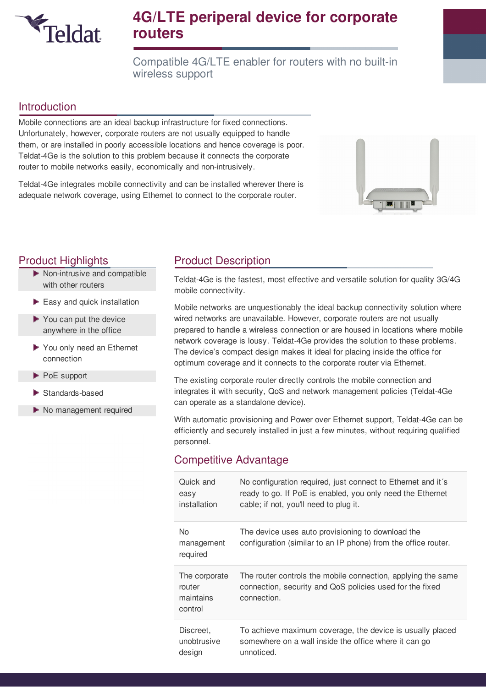

# **4G/LTE periperal device for corporate routers**

Compatible 4G/LTE enabler for routers with no built-in wireless support

#### Introduction

Mobile connections are an ideal backup infrastructure for fixed connections. Unfortunately, however, corporate routers are not usually equipped to handle them, or are installed in poorly accessible locations and hence coverage is poor. Teldat-4Ge is the solution to this problem because it connects the corporate router to mobile networks easily, economically and non-intrusively.

Teldat-4Ge integrates mobile connectivity and can be installed wherever there is adequate network coverage, using Ethernet to connect to the corporate router.



- Non-intrusive and compatible with other routers
- $\blacktriangleright$  Easy and quick installation
- You can put the device anywhere in the office
- You only need an Ethernet connection
- PoE support
- Standards-based
- No management required

## **Product Highlights Product Description**

Teldat-4Ge is the fastest, most effective and versatile solution for quality 3G/4G mobile connectivity.

Mobile networks are unquestionably the ideal backup connectivity solution where wired networks are unavailable. However, corporate routers are not usually prepared to handle a wireless connection or are housed in locations where mobile network coverage is lousy. Teldat-4Ge provides the solution to these problems. The device's compact design makes it ideal for placing inside the office for optimum coverage and it connects to the corporate router via Ethernet.

The existing corporate router directly controls the mobile connection and integrates it with security, QoS and network management policies (Teldat-4Ge can operate as a standalone device).

With automatic provisioning and Power over Ethernet support, Teldat-4Ge can be efficiently and securely installed in just a few minutes, without requiring qualified personnel.

#### Competitive Advantage

| Quick and                                       | No configuration required, just connect to Ethernet and it's                                                                            |
|-------------------------------------------------|-----------------------------------------------------------------------------------------------------------------------------------------|
| easy                                            | ready to go. If PoE is enabled, you only need the Ethernet                                                                              |
| installation                                    | cable; if not, you'll need to plug it.                                                                                                  |
| No.<br>management<br>required                   | The device uses auto provisioning to download the<br>configuration (similar to an IP phone) from the office router.                     |
| The corporate<br>router<br>maintains<br>control | The router controls the mobile connection, applying the same<br>connection, security and QoS policies used for the fixed<br>connection. |
| Discreet.                                       | To achieve maximum coverage, the device is usually placed                                                                               |
| unobtrusive                                     | somewhere on a wall inside the office where it can go                                                                                   |
| design                                          | unnoticed.                                                                                                                              |